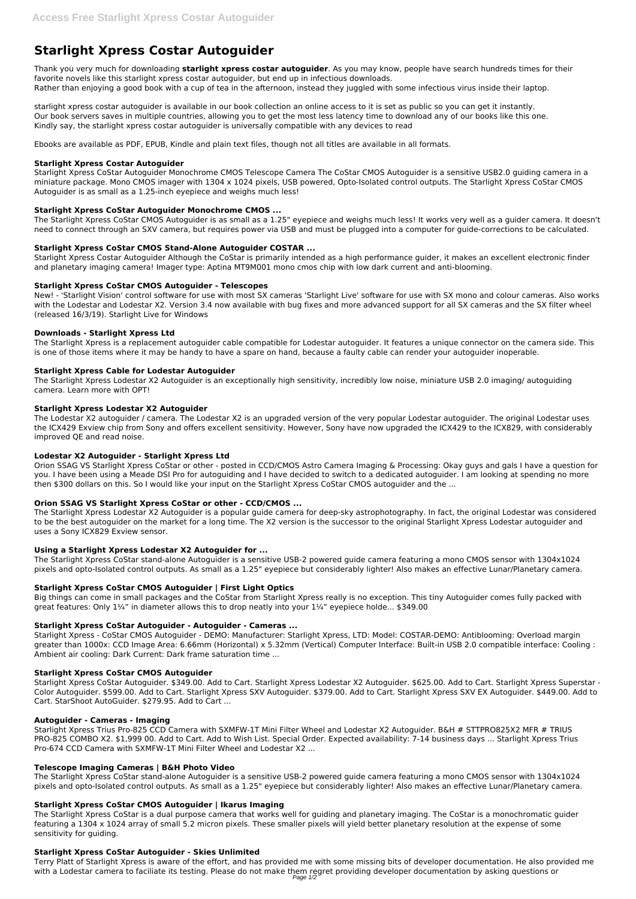# **Starlight Xpress Costar Autoguider**

Thank you very much for downloading **starlight xpress costar autoguider**. As you may know, people have search hundreds times for their favorite novels like this starlight xpress costar autoguider, but end up in infectious downloads. Rather than enjoying a good book with a cup of tea in the afternoon, instead they juggled with some infectious virus inside their laptop.

starlight xpress costar autoguider is available in our book collection an online access to it is set as public so you can get it instantly. Our book servers saves in multiple countries, allowing you to get the most less latency time to download any of our books like this one. Kindly say, the starlight xpress costar autoguider is universally compatible with any devices to read

Ebooks are available as PDF, EPUB, Kindle and plain text files, though not all titles are available in all formats.

## **Starlight Xpress Costar Autoguider**

Starlight Xpress CoStar Autoguider Monochrome CMOS Telescope Camera The CoStar CMOS Autoguider is a sensitive USB2.0 guiding camera in a miniature package. Mono CMOS imager with 1304 x 1024 pixels, USB powered, Opto-Isolated control outputs. The Starlight Xpress CoStar CMOS Autoguider is as small as a 1.25-inch eyepiece and weighs much less!

## **Starlight Xpress CoStar Autoguider Monochrome CMOS ...**

The Starlight Xpress CoStar CMOS Autoguider is as small as a 1.25" eyepiece and weighs much less! It works very well as a guider camera. It doesn't need to connect through an SXV camera, but requires power via USB and must be plugged into a computer for guide-corrections to be calculated.

## **Starlight Xpress CoStar CMOS Stand-Alone Autoguider COSTAR ...**

Starlight Xpress Costar Autoguider Although the CoStar is primarily intended as a high performance guider, it makes an excellent electronic finder and planetary imaging camera! Imager type: Aptina MT9M001 mono cmos chip with low dark current and anti-blooming.

## **Starlight Xpress CoStar CMOS Autoguider - Telescopes**

New! - 'Starlight Vision' control software for use with most SX cameras 'Starlight Live' software for use with SX mono and colour cameras. Also works with the Lodestar and Lodestar X2. Version 3.4 now available with bug fixes and more advanced support for all SX cameras and the SX filter wheel (released 16/3/19). Starlight Live for Windows

Big things can come in small packages and the CoStar from Starlight Xpress really is no exception. This tiny Autoguider comes fully packed with great features: Only  $1\frac{1}{4}$ " in diameter allows this to drop neatly into your  $1\frac{1}{4}$ " eyepiece holde... \$349.00

## **Downloads - Starlight Xpress Ltd**

The Starlight Xpress is a replacement autoguider cable compatible for Lodestar autoguider. It features a unique connector on the camera side. This is one of those items where it may be handy to have a spare on hand, because a faulty cable can render your autoguider inoperable.

#### **Starlight Xpress Cable for Lodestar Autoguider**

The Starlight Xpress Lodestar X2 Autoguider is an exceptionally high sensitivity, incredibly low noise, miniature USB 2.0 imaging/ autoguiding camera. Learn more with OPT!

#### **Starlight Xpress Lodestar X2 Autoguider**

The Lodestar X2 autoguider / camera. The Lodestar X2 is an upgraded version of the very popular Lodestar autoguider. The original Lodestar uses the ICX429 Exview chip from Sony and offers excellent sensitivity. However, Sony have now upgraded the ICX429 to the ICX829, with considerably improved QE and read noise.

The Starlight Xpress CoStar is a dual purpose camera that works well for guiding and planetary imaging. The CoStar is a monochromatic guider featuring a 1304 x 1024 array of small 5.2 micron pixels. These smaller pixels will yield better planetary resolution at the expense of some sensitivity for quiding.

#### **Lodestar X2 Autoguider - Starlight Xpress Ltd**

Terry Platt of Starlight Xpress is aware of the effort, and has provided me with some missing bits of developer documentation. He also provided me with a Lodestar camera to faciliate its testing. Please do not make them regret providing developer documentation by asking questions or Page 1/2

Orion SSAG VS Starlight Xpress CoStar or other - posted in CCD/CMOS Astro Camera Imaging & Processing: Okay guys and gals I have a question for you. I have been using a Meade DSI Pro for autoguiding and I have decided to switch to a dedicated autoguider. I am looking at spending no more then \$300 dollars on this. So I would like your input on the Starlight Xpress CoStar CMOS autoguider and the ...

## **Orion SSAG VS Starlight Xpress CoStar or other - CCD/CMOS ...**

The Starlight Xpress Lodestar X2 Autoguider is a popular guide camera for deep-sky astrophotography. In fact, the original Lodestar was considered to be the best autoguider on the market for a long time. The X2 version is the successor to the original Starlight Xpress Lodestar autoguider and uses a Sony ICX829 Exview sensor.

#### **Using a Starlight Xpress Lodestar X2 Autoguider for ...**

The Starlight Xpress CoStar stand-alone Autoguider is a sensitive USB-2 powered guide camera featuring a mono CMOS sensor with 1304x1024 pixels and opto-Isolated control outputs. As small as a 1.25" eyepiece but considerably lighter! Also makes an effective Lunar/Planetary camera.

## **Starlight Xpress CoStar CMOS Autoguider | First Light Optics**

#### **Starlight Xpress CoStar Autoguider - Autoguider - Cameras ...**

Starlight Xpress - CoStar CMOS Autoguider - DEMO: Manufacturer: Starlight Xpress, LTD: Model: COSTAR-DEMO: Antiblooming: Overload margin greater than 1000x: CCD Image Area: 6.66mm (Horizontal) x 5.32mm (Vertical) Computer Interface: Built-in USB 2.0 compatible interface: Cooling : Ambient air cooling: Dark Current: Dark frame saturation time ...

#### **Starlight Xpress CoStar CMOS Autoguider**

Starlight Xpress CoStar Autoguider. \$349.00. Add to Cart. Starlight Xpress Lodestar X2 Autoguider. \$625.00. Add to Cart. Starlight Xpress Superstar - Color Autoguider. \$599.00. Add to Cart. Starlight Xpress SXV Autoguider. \$379.00. Add to Cart. Starlight Xpress SXV EX Autoguider. \$449.00. Add to Cart. StarShoot AutoGuider. \$279.95. Add to Cart ...

#### **Autoguider - Cameras - Imaging**

Starlight Xpress Trius Pro-825 CCD Camera with SXMFW-1T Mini Filter Wheel and Lodestar X2 Autoguider. B&H # STTPRO825X2 MFR # TRIUS PRO-825 COMBO X2. \$1,999 00. Add to Cart. Add to Wish List. Special Order. Expected availability: 7-14 business days ... Starlight Xpress Trius Pro-674 CCD Camera with SXMFW-1T Mini Filter Wheel and Lodestar X2 ...

#### **Telescope Imaging Cameras | B&H Photo Video**

The Starlight Xpress CoStar stand-alone Autoguider is a sensitive USB-2 powered guide camera featuring a mono CMOS sensor with 1304x1024 pixels and opto-Isolated control outputs. As small as a 1.25" eyepiece but considerably lighter! Also makes an effective Lunar/Planetary camera.

#### **Starlight Xpress CoStar CMOS Autoguider | Ikarus Imaging**

#### **Starlight Xpress CoStar Autoguider - Skies Unlimited**